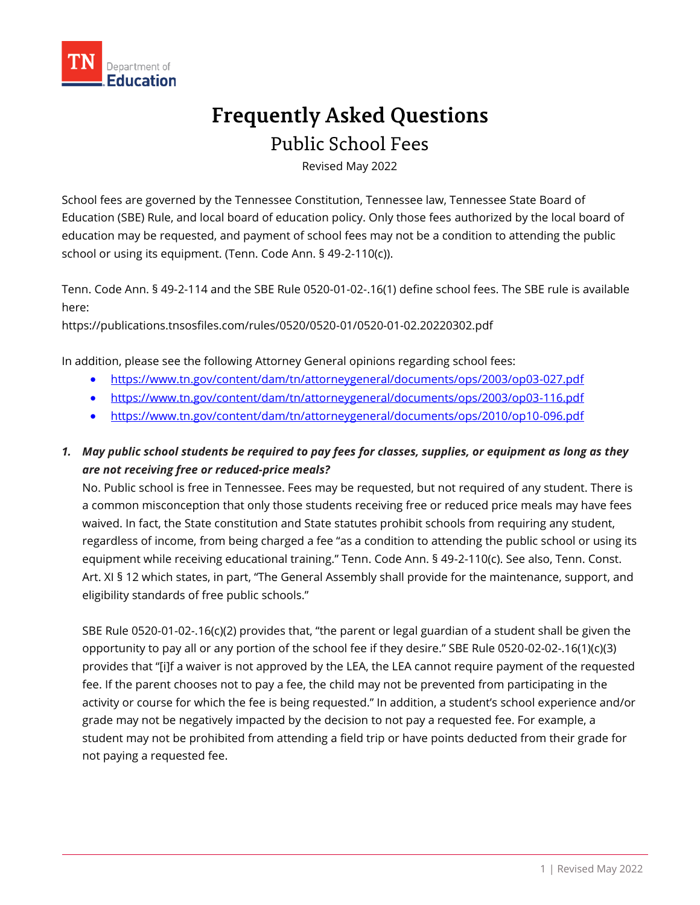

# **Frequently Asked Questions Public School Fees**

Revised May 2022

School fees are governed by the Tennessee Constitution, Tennessee law, Tennessee State Board of Education (SBE) Rule, and local board of education policy. Only those fees authorized by the local board of education may be requested, and payment of school fees may not be a condition to attending the public school or using its equipment. (Tenn. Code Ann. § 49-2-110(c)).

Tenn. Code Ann. § 49-2-114 and the SBE Rule 0520-01-02-.16(1) define school fees. The SBE rule is available here:

<https://publications.tnsosfiles.com/rules/0520/0520-01/0520-01-02.20220302.pdf>

In addition, please see the following Attorney General opinions regarding school fees:

- [https://www.tn.gov/content/dam/tn/attorneygeneral/documents/ops/2003/op03-027.pdf](https://www.tn.gov/content/dam/tn/attorneygeneral/opinions/documents/2003/op03-027.pdf)
- <https://www.tn.gov/content/dam/tn/attorneygeneral/documents/ops/2003/op03-116.pdf>
- <https://www.tn.gov/content/dam/tn/attorneygeneral/documents/ops/2010/op10-096.pdf>

# *1. May public school students be required to pay fees for classes, supplies, or equipment as long as they are not receiving free or reduced-price meals?*

No. Public school is free in Tennessee. Fees may be requested, but not required of any student. There is a common misconception that only those students receiving free or reduced price meals may have fees waived. In fact, the State constitution and State statutes prohibit schools from requiring any student, regardless of income, from being charged a fee "as a condition to attending the public school or using its equipment while receiving educational training." Tenn. Code Ann. § 49-2-110(c). See also, Tenn. Const. Art. XI § 12 which states, in part, "The General Assembly shall provide for the maintenance, support, and eligibility standards of free public schools."

SBE Rule 0520-01-02-.16(c)(2) provides that, "the parent or legal guardian of a student shall be given the opportunity to pay all or any portion of the school fee if they desire." SBE Rule 0520-02-02-.16(1)(c)(3) provides that "[i]f a waiver is not approved by the LEA, the LEA cannot require payment of the requested fee. If the parent chooses not to pay a fee, the child may not be prevented from participating in the activity or course for which the fee is being requested." In addition, a student's school experience and/or grade may not be negatively impacted by the decision to not pay a requested fee. For example, a student may not be prohibited from attending a field trip or have points deducted from their grade for not paying a requested fee.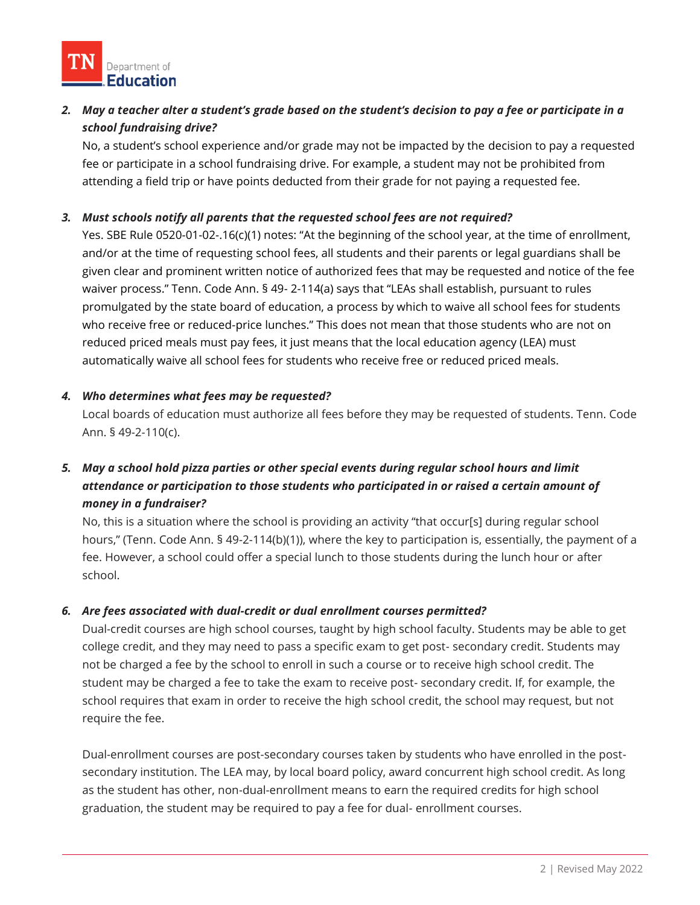# *2. May a teacher alter a student's grade based on the student's decision to pay a fee or participate in a school fundraising drive?*

No, a student's school experience and/or grade may not be impacted by the decision to pay a requested fee or participate in a school fundraising drive. For example, a student may not be prohibited from attending a field trip or have points deducted from their grade for not paying a requested fee.

## *3. Must schools notify all parents that the requested school fees are not required?*

Yes. SBE Rule 0520-01-02-.16(c)(1) notes: "At the beginning of the school year, at the time of enrollment, and/or at the time of requesting school fees, all students and their parents or legal guardians shall be given clear and prominent written notice of authorized fees that may be requested and notice of the fee waiver process." Tenn. Code Ann. § 49- 2-114(a) says that "LEAs shall establish, pursuant to rules promulgated by the state board of education, a process by which to waive all school fees for students who receive free or reduced-price lunches." This does not mean that those students who are not on reduced priced meals must pay fees, it just means that the local education agency (LEA) must automatically waive all school fees for students who receive free or reduced priced meals.

## *4. Who determines what fees may be requested?*

Local boards of education must authorize all fees before they may be requested of students. Tenn. Code Ann. § 49-2-110(c).

## *5. May a school hold pizza parties or other special events during regular school hours and limit attendance or participation to those students who participated in or raised a certain amount of money in a fundraiser?*

No, this is a situation where the school is providing an activity "that occur[s] during regular school hours," (Tenn. Code Ann. § 49-2-114(b)(1)), where the key to participation is, essentially, the payment of a fee. However, a school could offer a special lunch to those students during the lunch hour or after school.

## *6. Are fees associated with dual-credit or dual enrollment courses permitted?*

Dual-credit courses are high school courses, taught by high school faculty. Students may be able to get college credit, and they may need to pass a specific exam to get post- secondary credit. Students may not be charged a fee by the school to enroll in such a course or to receive high school credit. The student may be charged a fee to take the exam to receive post- secondary credit. If, for example, the school requires that exam in order to receive the high school credit, the school may request, but not require the fee.

Dual-enrollment courses are post-secondary courses taken by students who have enrolled in the postsecondary institution. The LEA may, by local board policy, award concurrent high school credit. As long as the student has other, non-dual-enrollment means to earn the required credits for high school graduation, the student may be required to pay a fee for dual- enrollment courses.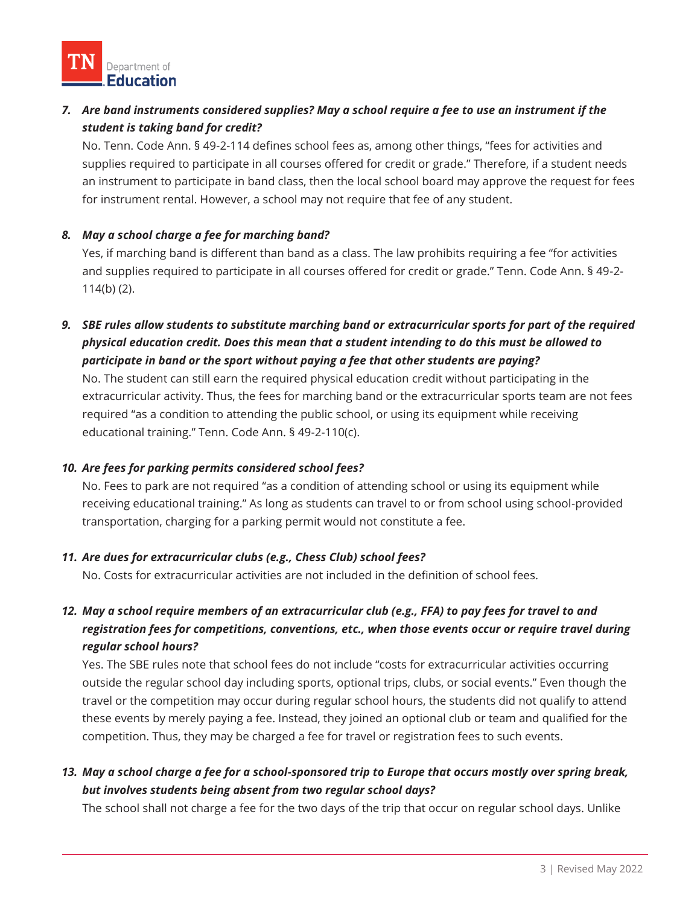

# *7. Are band instruments considered supplies? May a school require a fee to use an instrument if the student is taking band for credit?*

No. Tenn. Code Ann. § 49-2-114 defines school fees as, among other things, "fees for activities and supplies required to participate in all courses offered for credit or grade." Therefore, if a student needs an instrument to participate in band class, then the local school board may approve the request for fees for instrument rental. However, a school may not require that fee of any student.

## *8. May a school charge a fee for marching band?*

Yes, if marching band is different than band as a class. The law prohibits requiring a fee "for activities and supplies required to participate in all courses offered for credit or grade." Tenn. Code Ann. § 49-2- 114(b) (2).

*9. SBE rules allow students to substitute marching band or extracurricular sports for part of the required physical education credit. Does this mean that a student intending to do this must be allowed to participate in band or the sport without paying a fee that other students are paying?*

No. The student can still earn the required physical education credit without participating in the extracurricular activity. Thus, the fees for marching band or the extracurricular sports team are not fees required "as a condition to attending the public school, or using its equipment while receiving educational training." Tenn. Code Ann. § 49-2-110(c).

## *10. Are fees for parking permits considered school fees?*

No. Fees to park are not required "as a condition of attending school or using its equipment while receiving educational training." As long as students can travel to or from school using school-provided transportation, charging for a parking permit would not constitute a fee.

## *11. Are dues for extracurricular clubs (e.g., Chess Club) school fees?*

No. Costs for extracurricular activities are not included in the definition of school fees.

# *12. May a school require members of an extracurricular club (e.g., FFA) to pay fees for travel to and registration fees for competitions, conventions, etc., when those events occur or require travel during regular school hours?*

Yes. The SBE rules note that school fees do not include "costs for extracurricular activities occurring outside the regular school day including sports, optional trips, clubs, or social events." Even though the travel or the competition may occur during regular school hours, the students did not qualify to attend these events by merely paying a fee. Instead, they joined an optional club or team and qualified for the competition. Thus, they may be charged a fee for travel or registration fees to such events.

## *13. May a school charge a fee for a school-sponsored trip to Europe that occurs mostly over spring break, but involves students being absent from two regular school days?*

The school shall not charge a fee for the two days of the trip that occur on regular school days. Unlike